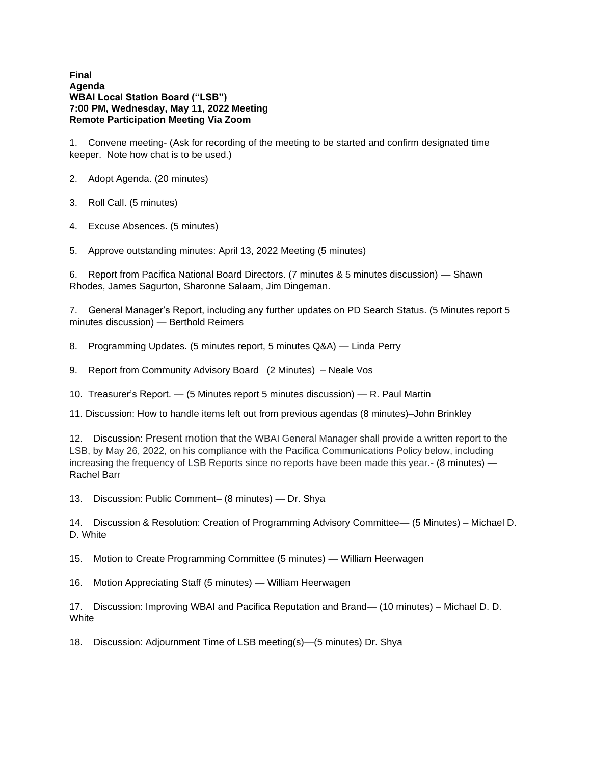**Final Agenda WBAI Local Station Board ("LSB") 7:00 PM, Wednesday, May 11, 2022 Meeting Remote Participation Meeting Via Zoom**

1. Convene meeting- (Ask for recording of the meeting to be started and confirm designated time keeper. Note how chat is to be used.)

- 2. Adopt Agenda. (20 minutes)
- 3. Roll Call. (5 minutes)
- 4. Excuse Absences. (5 minutes)
- 5. Approve outstanding minutes: April 13, 2022 Meeting (5 minutes)

6. Report from Pacifica National Board Directors. (7 minutes & 5 minutes discussion) — Shawn Rhodes, James Sagurton, Sharonne Salaam, Jim Dingeman.

7. General Manager's Report, including any further updates on PD Search Status. (5 Minutes report 5 minutes discussion) — Berthold Reimers

8. Programming Updates. (5 minutes report, 5 minutes Q&A) — Linda Perry

9. Report from Community Advisory Board (2 Minutes) – Neale Vos

10. Treasurer's Report. — (5 Minutes report 5 minutes discussion) — R. Paul Martin

11. Discussion: How to handle items left out from previous agendas (8 minutes)–John Brinkley

12. Discussion: Present motion that the WBAI General Manager shall provide a written report to the LSB, by May 26, 2022, on his compliance with the Pacifica Communications Policy below, including increasing the frequency of LSB Reports since no reports have been made this year.- (8 minutes) — Rachel Barr

13. Discussion: Public Comment– (8 minutes) — Dr. Shya

14. Discussion & Resolution: Creation of Programming Advisory Committee— (5 Minutes) – Michael D. D. White

15. Motion to Create Programming Committee (5 minutes) — William Heerwagen

16. Motion Appreciating Staff (5 minutes) — William Heerwagen

17. Discussion: Improving WBAI and Pacifica Reputation and Brand— (10 minutes) – Michael D. D. **White** 

18. Discussion: Adjournment Time of LSB meeting(s)—(5 minutes) Dr. Shya